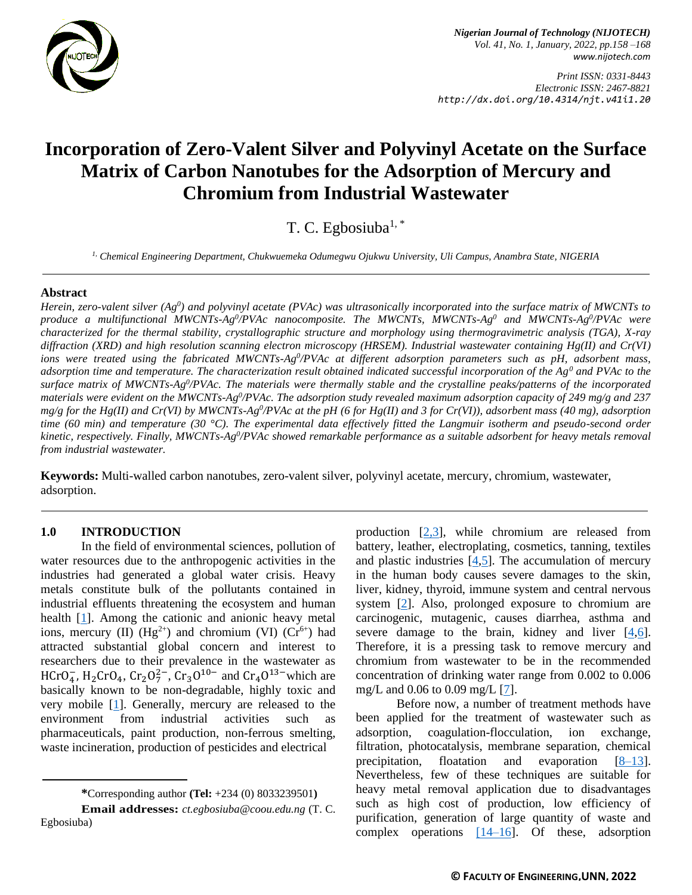

*Nigerian Journal of Technology (NIJOTECH) Vol. 41, No. 1, January, 2022, pp.158 –168 [www.nijotech.com](http://www.nijotech.com/)*

*Print ISSN: 0331-8443 Electronic ISSN: 2467-8821 http://dx.doi.org/10.4314/njt.v41i1.20*

# **Incorporation of Zero-Valent Silver and Polyvinyl Acetate on the Surface Matrix of Carbon Nanotubes for the Adsorption of Mercury and Chromium from Industrial Wastewater**

T. C. Egbosiuba $1, *$ 

*1, Chemical Engineering Department, Chukwuemeka Odumegwu Ojukwu University, Uli Campus, Anambra State, NIGERIA*

#### **Abstract**

*Herein, zero-valent silver (Ag<sup>0</sup> ) and polyvinyl acetate (PVAc) was ultrasonically incorporated into the surface matrix of MWCNTs to produce a multifunctional MWCNTs-Ag<sup>0</sup> /PVAc nanocomposite. The MWCNTs, MWCNTs-Ag<sup>0</sup> and MWCNTs-Ag<sup>0</sup> /PVAc were characterized for the thermal stability, crystallographic structure and morphology using thermogravimetric analysis (TGA), X-ray diffraction (XRD) and high resolution scanning electron microscopy (HRSEM). Industrial wastewater containing Hg(II) and Cr(VI)*  ions were treated using the fabricated MWCNTs-Ag<sup>0</sup>/PVAc at different adsorption parameters such as pH, adsorbent mass, *adsorption time and temperature. The characterization result obtained indicated successful incorporation of the Ag<sup>0</sup> and PVAc to the surface matrix of MWCNTs-Ag<sup>0</sup> /PVAc. The materials were thermally stable and the crystalline peaks/patterns of the incorporated*  materials were evident on the MWCNTs-Ag<sup>0</sup>/PVAc. The adsorption study revealed maximum adsorption capacity of 249 mg/g and 237 *mg/g for the Hg(II) and Cr(VI) by MWCNTs-Ag<sup>0</sup>/PVAc at the pH (6 for Hg(II) and 3 for Cr(VI)), adsorbent mass (40 mg), adsorption time (60 min) and temperature (30 °C). The experimental data effectively fitted the Langmuir isotherm and pseudo-second order*  kinetic, respectively. Finally, MWCNTs-Ag<sup>0</sup>/PVAc showed remarkable performance as a suitable adsorbent for heavy metals removal *from industrial wastewater.*

**Keywords:** Multi-walled carbon nanotubes, zero-valent silver, polyvinyl acetate, mercury, chromium, wastewater, adsorption.

#### **1.0 INTRODUCTION**

In the field of environmental sciences, pollution of water resources due to the anthropogenic activities in the industries had generated a global water crisis. Heavy metals constitute bulk of the pollutants contained in industrial effluents threatening the ecosystem and human health [\[1\]](#page-8-0). Among the cationic and anionic heavy metal ions, mercury (II)  $(Hg^{2+})$  and chromium (VI)  $(Cr^{6+})$  had attracted substantial global concern and interest to researchers due to their prevalence in the wastewater as HCrO<sub>4</sub>, H<sub>2</sub>CrO<sub>4</sub>, Cr<sub>2</sub>O<sup>2</sup><sup>-</sup>, Cr<sub>3</sub>O<sup>10-</sup> and Cr<sub>4</sub>O<sup>13-</sup>which are basically known to be non-degradable, highly toxic and very mobile [\[1\]](#page-8-0). Generally, mercury are released to the environment from industrial activities such as pharmaceuticals, paint production, non-ferrous smelting, waste incineration, production of pesticides and electrical

**\***Corresponding author **[\(Te](mailto:samnnaemeka.ugwu@unn.edu.ng)l:** +234 (0) 8033239501**)**

**Email addresses:** *[ct.egbosiuba@coou.edu.ng](mailto:ct.egbosiuba@coou.edu.ng)* (T. C. Egbosiuba)

production  $[2,3]$  $[2,3]$ , while chromium are released from battery, leather, electroplating, cosmetics, tanning, textiles and plastic industries [\[4,](#page-8-3)[5\]](#page-8-4). The accumulation of mercury in the human body causes severe damages to the skin, liver, kidney, thyroid, immune system and central nervous system [\[2\]](#page-8-1). Also, prolonged exposure to chromium are carcinogenic, mutagenic, causes diarrhea, asthma and severe damage to the brain, kidney and liver  $[4,6]$  $[4,6]$ . Therefore, it is a pressing task to remove mercury and chromium from wastewater to be in the recommended concentration of drinking water range from 0.002 to 0.006 mg/L and 0.06 to 0.09 mg/L [\[7\]](#page-8-6).

Before now, a number of treatment methods have been applied for the treatment of wastewater such as adsorption, coagulation-flocculation, ion exchange, filtration, photocatalysis, membrane separation, chemical precipitation, floatation and evaporation [\[8–13\]](#page-8-7). Nevertheless, few of these techniques are suitable for heavy metal removal application due to disadvantages such as high cost of production, low efficiency of purification, generation of large quantity of waste and complex operations  $[14–16]$ . Of these, adsorption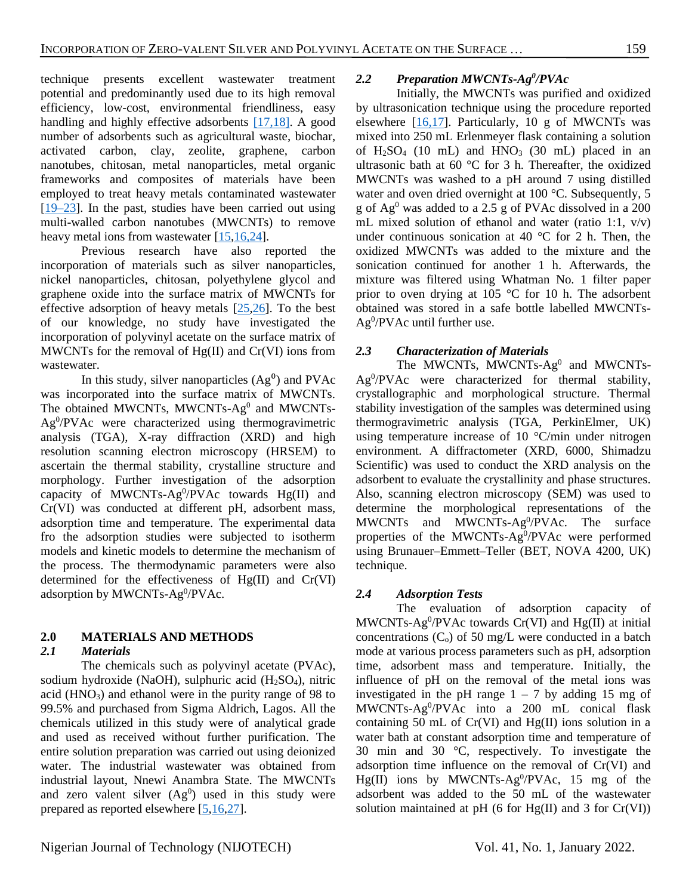technique presents excellent wastewater treatment potential and predominantly used due to its high removal efficiency, low-cost, environmental friendliness, easy handling and highly effective adsorbents [\[17,](#page-9-1)[18\].](#page-9-2) A good number of adsorbents such as agricultural waste, biochar, activated carbon, clay, zeolite, graphene, carbon nanotubes, chitosan, metal nanoparticles, metal organic frameworks and composites of materials have been employed to treat heavy metals contaminated wastewater [\[19](#page-9-3)[–23\]](#page-9-4). In the past, studies have been carried out using multi-walled carbon nanotubes (MWCNTs) to remove heavy metal ions from wastewater [\[15,](#page-9-5)[16,](#page-9-6)[24\]](#page-9-7).

Previous research have also reported the incorporation of materials such as silver nanoparticles, nickel nanoparticles, chitosan, polyethylene glycol and graphene oxide into the surface matrix of MWCNTs for effective adsorption of heavy metals [\[25](#page-9-8)[,26\]](#page-9-9). To the best of our knowledge, no study have investigated the incorporation of polyvinyl acetate on the surface matrix of MWCNTs for the removal of  $Hg(II)$  and  $Cr(VI)$  ions from wastewater.

In this study, silver nanoparticles  $(Ag^0)$  and PVAc was incorporated into the surface matrix of MWCNTs. The obtained MWCNTs, MWCNTs-Ag<sup>0</sup> and MWCNTs-Ag<sup>0</sup> /PVAc were characterized using thermogravimetric analysis (TGA), X-ray diffraction (XRD) and high resolution scanning electron microscopy (HRSEM) to ascertain the thermal stability, crystalline structure and morphology. Further investigation of the adsorption capacity of MWCNTs-Ag<sup>0</sup>/PVAc towards  $Hg(II)$  and Cr(VI) was conducted at different pH, adsorbent mass, adsorption time and temperature. The experimental data fro the adsorption studies were subjected to isotherm models and kinetic models to determine the mechanism of the process. The thermodynamic parameters were also determined for the effectiveness of Hg(II) and Cr(VI) adsorption by MWCNTs-Ag<sup>0</sup>/PVAc.

# **2.0 MATERIALS AND METHODS**

## *2.1 Materials*

The chemicals such as polyvinyl acetate (PVAc), sodium hydroxide (NaOH), sulphuric acid  $(H_2SO_4)$ , nitric acid  $(HNO<sub>3</sub>)$  and ethanol were in the purity range of 98 to 99.5% and purchased from Sigma Aldrich, Lagos. All the chemicals utilized in this study were of analytical grade and used as received without further purification. The entire solution preparation was carried out using deionized water. The industrial wastewater was obtained from industrial layout, Nnewi Anambra State. The MWCNTs and zero valent silver  $(Ag^0)$  used in this study were prepared as reported elsewhere [\[5,](#page-8-4)[16](#page-9-6)[,27\]](#page-9-10).

## 2.2 *Preparation MWCNTs-Ag<sup>0</sup>***/PVAc**

Initially, the MWCNTs was purified and oxidized by ultrasonication technique using the procedure reported elsewhere  $[16,17]$  $[16,17]$ . Particularly, 10 g of MWCNTs was mixed into 250 mL Erlenmeyer flask containing a solution of  $H<sub>2</sub>SO<sub>4</sub>$  (10 mL) and  $HNO<sub>3</sub>$  (30 mL) placed in an ultrasonic bath at 60 °C for 3 h. Thereafter, the oxidized MWCNTs was washed to a pH around 7 using distilled water and oven dried overnight at 100 °C. Subsequently, 5 g of  $Ag<sup>0</sup>$  was added to a 2.5 g of PVAc dissolved in a 200 mL mixed solution of ethanol and water (ratio 1:1,  $v/v$ ) under continuous sonication at 40  $^{\circ}$ C for 2 h. Then, the oxidized MWCNTs was added to the mixture and the sonication continued for another 1 h. Afterwards, the mixture was filtered using Whatman No. 1 filter paper prior to oven drying at 105 °C for 10 h. The adsorbent obtained was stored in a safe bottle labelled MWCNTs-Ag<sup>0</sup>/PVAc until further use.

## *2.3 Characterization of Materials*

The MWCNTs, MWCNTs-Ag<sup>0</sup> and MWCNTs-Ag<sup>0</sup>/PVAc were characterized for thermal stability, crystallographic and morphological structure. Thermal stability investigation of the samples was determined using thermogravimetric analysis (TGA, PerkinElmer, UK) using temperature increase of 10 °C/min under nitrogen environment. A diffractometer (XRD, 6000, Shimadzu Scientific) was used to conduct the XRD analysis on the adsorbent to evaluate the crystallinity and phase structures. Also, scanning electron microscopy (SEM) was used to determine the morphological representations of the MWCNTs and MWCNTs-Ag<sup>0</sup>/PVAc. The surface properties of the MWCNTs-Ag<sup>0</sup>/PVAc were performed using Brunauer–Emmett–Teller (BET, NOVA 4200, UK) technique.

## *2.4 Adsorption Tests*

The evaluation of adsorption capacity of MWCNTs-Ag<sup>0</sup>/PVAc towards Cr(VI) and Hg(II) at initial concentrations  $(C_0)$  of 50 mg/L were conducted in a batch mode at various process parameters such as pH, adsorption time, adsorbent mass and temperature. Initially, the influence of pH on the removal of the metal ions was investigated in the pH range  $1 - 7$  by adding 15 mg of MWCNTs-Ag<sup>0</sup> /PVAc into a 200 mL conical flask containing 50 mL of Cr(VI) and Hg(II) ions solution in a water bath at constant adsorption time and temperature of 30 min and 30 °C, respectively. To investigate the adsorption time influence on the removal of Cr(VI) and  $Hg(II)$  ions by MWCNTs-Ag<sup>0</sup>/PVAc, 15 mg of the adsorbent was added to the 50 mL of the wastewater solution maintained at pH (6 for Hg(II) and 3 for Cr(VI))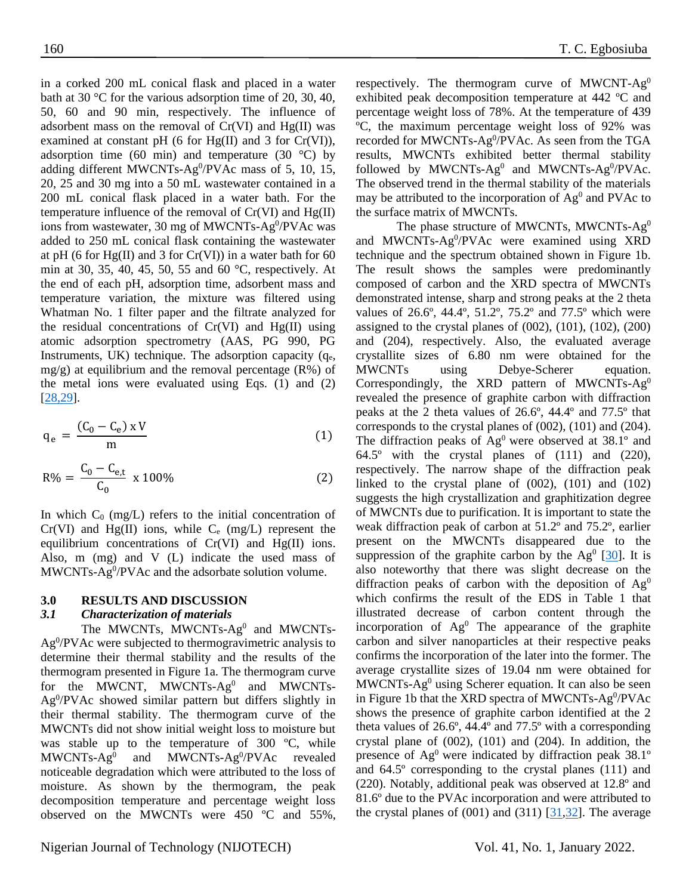in a corked 200 mL conical flask and placed in a water bath at 30 °C for the various adsorption time of 20, 30, 40, 50, 60 and 90 min, respectively. The influence of adsorbent mass on the removal of  $Cr(VI)$  and  $Hg(II)$  was examined at constant pH (6 for  $Hg(II)$  and 3 for  $Cr(VI)$ ), adsorption time (60 min) and temperature (30  $^{\circ}$ C) by adding different MWCNTs-Ag $^{0}$ /PVAc mass of 5, 10, 15, 20, 25 and 30 mg into a 50 mL wastewater contained in a 200 mL conical flask placed in a water bath. For the temperature influence of the removal of  $Cr(VI)$  and  $Hg(II)$ ions from wastewater, 30 mg of MWCNTs-Ag<sup>0</sup>/PVAc was added to 250 mL conical flask containing the wastewater at pH (6 for Hg(II) and 3 for  $Cr(VI)$ ) in a water bath for 60 min at 30, 35, 40, 45, 50, 55 and 60 °C, respectively. At the end of each pH, adsorption time, adsorbent mass and temperature variation, the mixture was filtered using Whatman No. 1 filter paper and the filtrate analyzed for the residual concentrations of  $Cr(VI)$  and  $Hg(II)$  using atomic adsorption spectrometry (AAS, PG 990, PG Instruments, UK) technique. The adsorption capacity  $(q_e,$ mg/g) at equilibrium and the removal percentage  $(R\%)$  of the metal ions were evaluated using Eqs. (1) and (2) [\[28](#page-10-0)[,29\]](#page-10-1).

$$
q_e = \frac{(C_0 - C_e) \times V}{m} \tag{1}
$$

$$
R\% = \frac{C_0 - C_{e,t}}{C_0} \times 100\%
$$
 (2)

In which  $C_0$  (mg/L) refers to the initial concentration of  $Cr(VI)$  and Hg(II) ions, while  $C_e$  (mg/L) represent the equilibrium concentrations of  $Cr(VI)$  and  $Hg(II)$  ions. Also, m (mg) and V (L) indicate the used mass of MWCNTs-Ag<sup>0</sup>/PVAc and the adsorbate solution volume.

#### **3.0 RESULTS AND DISCUSSION**

#### *3.1 Characterization of materials*

The MWCNTs, MWCNTs- $Ag<sup>0</sup>$  and MWCNTs-Ag<sup>0</sup>/PVAc were subjected to thermogravimetric analysis to determine their thermal stability and the results of the thermogram presented in Figure 1a. The thermogram curve for the MWCNT, MWCNTs-Ag<sup>0</sup> and MWCNTs-Ag<sup>0</sup>/PVAc showed similar pattern but differs slightly in their thermal stability. The thermogram curve of the MWCNTs did not show initial weight loss to moisture but was stable up to the temperature of 300 ºC, while  $MWCNTs-Ag<sup>0</sup>$ and MWCNTs- $Ag^0/PVAc$ revealed noticeable degradation which were attributed to the loss of moisture. As shown by the thermogram, the peak decomposition temperature and percentage weight loss observed on the MWCNTs were 450 ºC and 55%,

respectively. The thermogram curve of MWCNT- $Ag<sup>0</sup>$ exhibited peak decomposition temperature at 442 ºC and percentage weight loss of 78%. At the temperature of 439 ºC, the maximum percentage weight loss of 92% was recorded for MWCNTs-Ag<sup>0</sup>/PVAc. As seen from the TGA results, MWCNTs exhibited better thermal stability followed by MWCNTs-Ag<sup>0</sup> and MWCNTs-Ag<sup>0</sup>/PVAc. The observed trend in the thermal stability of the materials may be attributed to the incorporation of  $Ag<sup>0</sup>$  and PVAc to the surface matrix of MWCNTs.

The phase structure of MWCNTs, MWCNTs-Ag<sup>0</sup> and MWCNTs-Ag<sup>0</sup>/PVAc were examined using XRD technique and the spectrum obtained shown in Figure 1b. The result shows the samples were predominantly composed of carbon and the XRD spectra of MWCNTs demonstrated intense, sharp and strong peaks at the 2 theta values of 26.6º, 44.4º, 51.2º, 75.2º and 77.5º which were assigned to the crystal planes of  $(002)$ ,  $(101)$ ,  $(102)$ ,  $(200)$ and (204), respectively. Also, the evaluated average crystallite sizes of 6.80 nm were obtained for the MWCNTs using Debye-Scherer equation. Correspondingly, the XRD pattern of MWCNTs- $Ag^0$ revealed the presence of graphite carbon with diffraction peaks at the 2 theta values of 26.6º, 44.4º and 77.5º that corresponds to the crystal planes of (002), (101) and (204). The diffraction peaks of  $Ag^0$  were observed at 38.1 $^{\circ}$  and 64.5º with the crystal planes of (111) and (220), respectively. The narrow shape of the diffraction peak linked to the crystal plane of (002), (101) and (102) suggests the high crystallization and graphitization degree of MWCNTs due to purification. It is important to state the weak diffraction peak of carbon at 51.2º and 75.2º, earlier present on the MWCNTs disappeared due to the suppression of the graphite carbon by the  $Ag^0$  [\[30\]](#page-10-2). It is also noteworthy that there was slight decrease on the diffraction peaks of carbon with the deposition of  $Ag^0$ which confirms the result of the EDS in Table 1 that illustrated decrease of carbon content through the incorporation of  $Ag<sup>0</sup>$  The appearance of the graphite carbon and silver nanoparticles at their respective peaks confirms the incorporation of the later into the former. The average crystallite sizes of 19.04 nm were obtained for  $MWCNTs-Ag<sup>0</sup>$  using Scherer equation. It can also be seen in Figure 1b that the XRD spectra of MWCNTs-Ag<sup>0</sup>/PVAc shows the presence of graphite carbon identified at the 2 theta values of 26.6º, 44.4º and 77.5º with a corresponding crystal plane of (002), (101) and (204). In addition, the presence of  $Ag^0$  were indicated by diffraction peak 38.1 $\degree$ and 64.5º corresponding to the crystal planes (111) and (220). Notably, additional peak was observed at 12.8º and 81.6º due to the PVAc incorporation and were attributed to the crystal planes of  $(001)$  and  $(311)$   $[31,32]$  $[31,32]$ . The average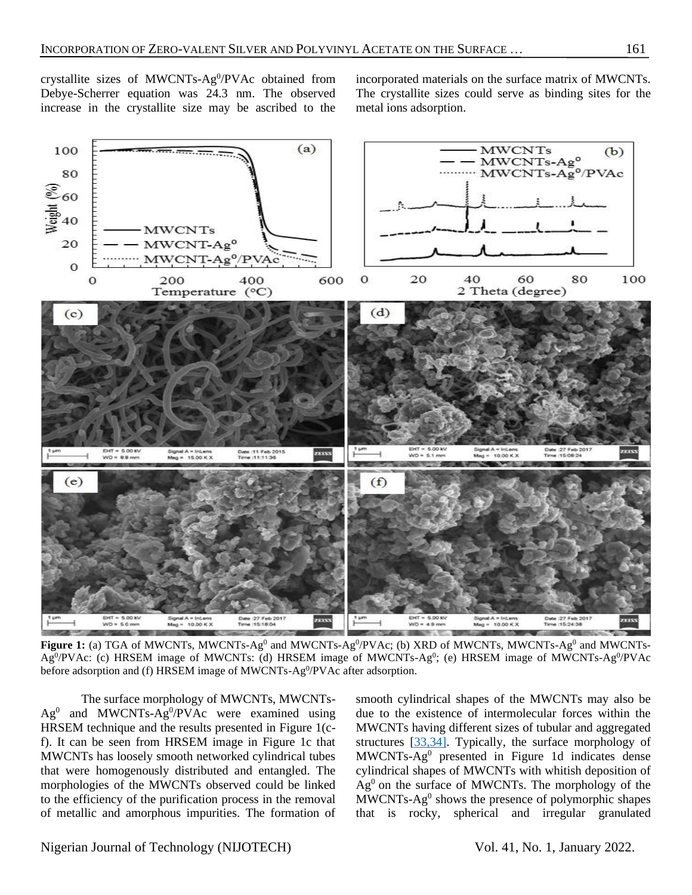crystallite sizes of MWCNTs-Ag $0$ /PVAc obtained from Debye-Scherrer equation was 24.3 nm. The observed increase in the crystallite size may be ascribed to the

incorporated materials on the surface matrix of MWCNTs. The crystallite sizes could serve as binding sites for the metal ions adsorption.



Figure 1: (a) TGA of MWCNTs, MWCNTs-Ag<sup>0</sup> and MWCNTs-Ag<sup>0</sup>/PVAc; (b) XRD of MWCNTs, MWCNTs-Ag<sup>0</sup> and MWCNTs-Ag<sup>0</sup>/PVAc: (c) HRSEM image of MWCNTs: (d) HRSEM image of MWCNTs-Ag<sup>0</sup>; (e) HRSEM image of MWCNTs-Ag<sup>0</sup>/PVAc before adsorption and (f) HRSEM image of MWCNTs-Ag<sup>0</sup>/PVAc after adsorption.

The surface morphology of MWCNTs, MWCNTs- $Ag^{0}$  and MWCNTs-Ag<sup>0</sup>/PVAc were examined using HRSEM technique and the results presented in Figure 1(cf). It can be seen from HRSEM image in Figure 1c that MWCNTs has loosely smooth networked cylindrical tubes that were homogenously distributed and entangled. The morphologies of the MWCNTs observed could be linked to the efficiency of the purification process in the removal of metallic and amorphous impurities. The formation of

smooth cylindrical shapes of the MWCNTs may also be due to the existence of intermolecular forces within the MWCNTs having different sizes of tubular and aggregated structures [\[33,34\].](#page-10-5) Typically, the surface morphology of MWCNTs-Ag<sup>0</sup> presented in Figure 1d indicates dense cylindrical shapes of MWCNTs with whitish deposition of Ag<sup>0</sup> on the surface of MWCNTs. The morphology of the MWCNTs-Ag<sup>0</sup> shows the presence of polymorphic shapes that is rocky, spherical and irregular granulated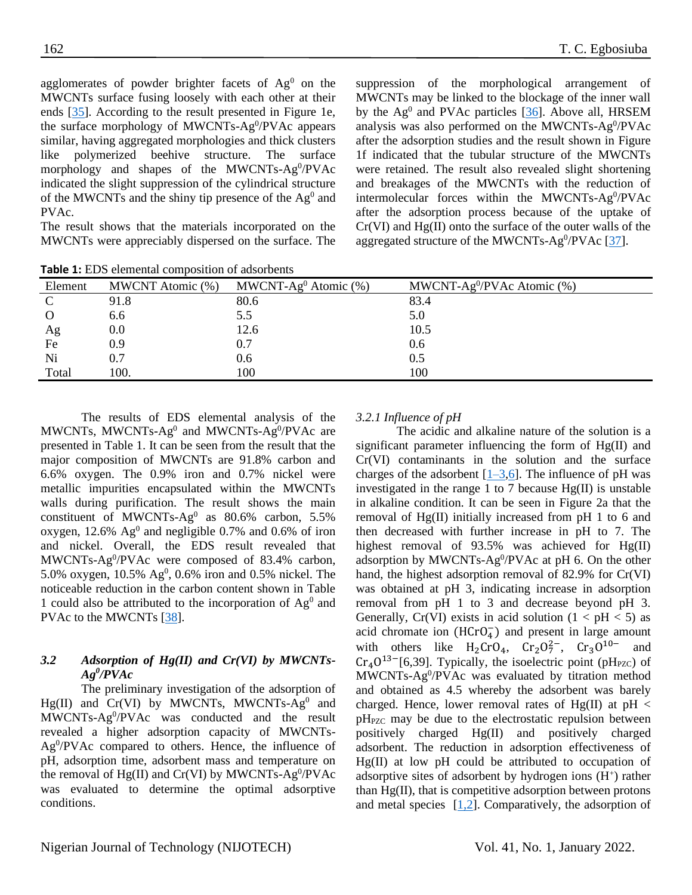agglomerates of powder brighter facets of  $Ag<sup>0</sup>$  on the MWCNTs surface fusing loosely with each other at their ends [\[35\]](#page-9-8). According to the result presented in Figure 1e, the surface morphology of MWCNTs-Ag<sup>0</sup>/PVAc appears similar, having aggregated morphologies and thick clusters like polymerized beehive structure. The surface morphology and shapes of the MWCNTs-Ag<sup>0</sup>/PVAc indicated the slight suppression of the cylindrical structure of the MWCNTs and the shiny tip presence of the  $Ag<sup>0</sup>$  and PVAc.

The result shows that the materials incorporated on the MWCNTs were appreciably dispersed on the surface. The suppression of the morphological arrangement of MWCNTs may be linked to the blockage of the inner wall by the Ag<sup>0</sup> and PVAc particles [\[36\]](#page-10-6). Above all, HRSEM analysis was also performed on the MWCNTs-Ag<sup>0</sup>/PVAc after the adsorption studies and the result shown in Figure 1f indicated that the tubular structure of the MWCNTs were retained. The result also revealed slight shortening and breakages of the MWCNTs with the reduction of intermolecular forces within the MWCNTs-Ag<sup>0</sup>/PVAc after the adsorption process because of the uptake of Cr(VI) and Hg(II) onto the surface of the outer walls of the aggregated structure of the MWCNTs-Ag<sup>0</sup>/PVAc [\[37\]](#page-10-7).

| Element  | MWCNT Atomic (%) | MWCNT-Ag <sup>0</sup> Atomic $(\%)$ | MWCNT-Ag $^0$ /PVAc Atomic (%) |
|----------|------------------|-------------------------------------|--------------------------------|
| C        | 91.8             | 80.6                                | 83.4                           |
| $\Omega$ | 6.6              | 5.5                                 | 5.0                            |
| Ag       | 0.0              | 12.6                                | 10.5                           |
| Fe       | 0.9              | 0.7                                 | 0.6                            |
| Ni       | 0.7              | 0.6                                 | 0.5                            |
| Total    | 100.             | 100                                 | 100                            |

**Table 1:** EDS elemental composition of adsorbents

The results of EDS elemental analysis of the MWCNTs, MWCNTs-Ag<sup>0</sup> and MWCNTs-Ag<sup>0</sup>/PVAc are presented in Table 1. It can be seen from the result that the major composition of MWCNTs are 91.8% carbon and 6.6% oxygen. The 0.9% iron and 0.7% nickel were metallic impurities encapsulated within the MWCNTs walls during purification. The result shows the main constituent of MWCNTs-Ag<sup>0</sup> as  $80.6\%$  carbon, 5.5% oxygen, 12.6%  $Ag<sup>0</sup>$  and negligible 0.7% and 0.6% of iron and nickel. Overall, the EDS result revealed that MWCNTs-Ag<sup>0</sup>/PVAc were composed of 83.4% carbon, 5.0% oxygen,  $10.5\%$  Ag<sup>0</sup>, 0.6% iron and 0.5% nickel. The noticeable reduction in the carbon content shown in Table 1 could also be attributed to the incorporation of  $Ag<sup>0</sup>$  and PVAc to the MWCNTs [\[38\]](#page-10-8).

# *3.2 Adsorption of Hg(II) and Cr(VI) by MWCNTs-Ag<sup>0</sup> /PVAc*

The preliminary investigation of the adsorption of  $Hg(II)$  and  $Cr(VI)$  by MWCNTs, MWCNTs-Ag<sup>0</sup> and MWCNTs-Ag<sup>0</sup>/PVAc was conducted and the result revealed a higher adsorption capacity of MWCNTs-Ag<sup>0</sup>/PVAc compared to others. Hence, the influence of pH, adsorption time, adsorbent mass and temperature on the removal of  $Hg(II)$  and  $Cr(VI)$  by MWCNTs-Ag<sup>0</sup>/PVAc was evaluated to determine the optimal adsorptive conditions.

## *3.2.1 Influence of pH*

The acidic and alkaline nature of the solution is a significant parameter influencing the form of Hg(II) and Cr(VI) contaminants in the solution and the surface charges of the adsorbent  $[1–3,6]$  $[1–3,6]$ . The influence of pH was investigated in the range 1 to 7 because  $Hg(II)$  is unstable in alkaline condition. It can be seen in Figure 2a that the removal of Hg(II) initially increased from pH 1 to 6 and then decreased with further increase in pH to 7. The highest removal of 93.5% was achieved for Hg(II) adsorption by MWCNTs-Ag<sup>0</sup>/PVAc at pH 6. On the other hand, the highest adsorption removal of 82.9% for Cr(VI) was obtained at pH 3, indicating increase in adsorption removal from pH 1 to 3 and decrease beyond pH 3. Generally, Cr(VI) exists in acid solution  $(1 < pH < 5)$  as acid chromate ion  $(HCrO<sub>4</sub>)$  and present in large amount with others like  $H_2$ CrO<sub>4</sub>, Cr<sub>2</sub>O<sup>2</sup><sup>-</sup>, Cr<sub>3</sub>O<sup>10-</sup> and  $Cr_4O^{13-}$ [6,39]. Typically, the isoelectric point (pH<sub>PZC</sub>) of MWCNTs-Ag<sup>0</sup>/PVAc was evaluated by titration method and obtained as 4.5 whereby the adsorbent was barely charged. Hence, lower removal rates of Hg(II) at  $pH <$  $pH<sub>PZC</sub>$  may be due to the electrostatic repulsion between positively charged Hg(II) and positively charged adsorbent. The reduction in adsorption effectiveness of Hg(II) at low pH could be attributed to occupation of adsorptive sites of adsorbent by hydrogen ions  $(H<sup>+</sup>)$  rather than Hg(II), that is competitive adsorption between protons and metal species [\[1,2\]](#page-8-0). Comparatively, the adsorption of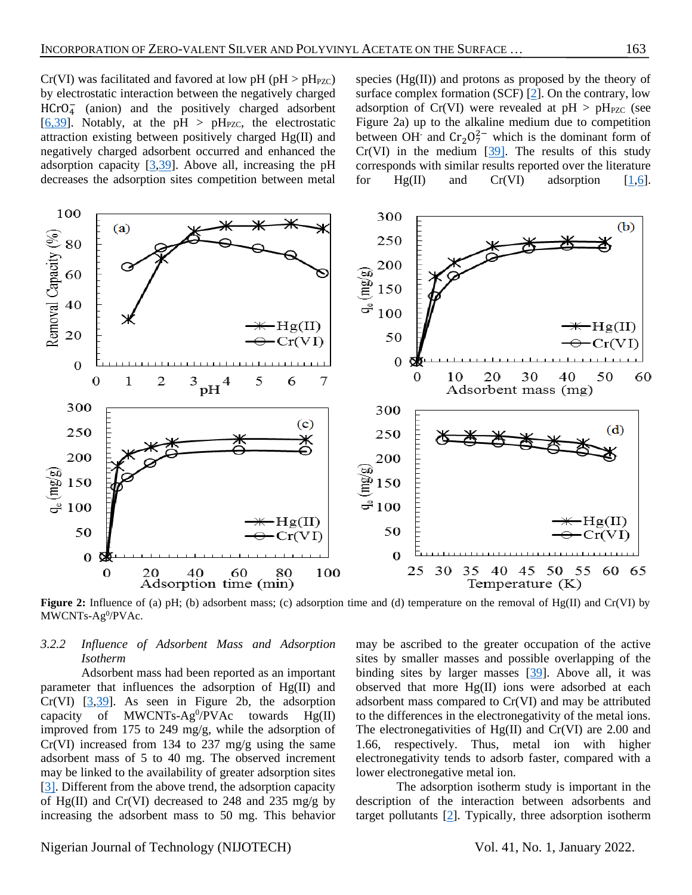$Cr(VI)$  was facilitated and favored at low pH (pH > pH<sub>PZC</sub>) by electrostatic interaction between the negatively charged HCrO<sub>4</sub> (anion) and the positively charged adsorbent [\[6,](#page-8-5)[39\]](#page-10-9). Notably, at the pH > pH<sub>PZC</sub>, the electrostatic attraction existing between positively charged Hg(II) and negatively charged adsorbent occurred and enhanced the adsorption capacity  $[3,39]$  $[3,39]$ . Above all, increasing the pH decreases the adsorption sites competition between metal

species  $(Hg(II))$  and protons as proposed by the theory of surface complex formation (SCF) [\[2\]](#page-8-1). On the contrary, low adsorption of Cr(VI) were revealed at  $pH > pH_{PZC}$  (see Figure 2a) up to the alkaline medium due to competition between OH<sup>-</sup> and  $Cr_2O_7^{2-}$  which is the dominant form of  $Cr(VI)$  in the medium  $[39]$ . The results of this study corresponds with similar results reported over the literature for  $Hg(II)$  and  $Cr(VI)$  adsorption  $[1,6]$  $[1,6]$ .



**Figure 2:** Influence of (a) pH; (b) adsorbent mass; (c) adsorption time and (d) temperature on the removal of Hg(II) and Cr(VI) by MWCNTs-Ag<sup>0</sup>/PVAc.

#### *3.2.2 Influence of Adsorbent Mass and Adsorption Isotherm*

Adsorbent mass had been reported as an important parameter that influences the adsorption of Hg(II) and  $Cr(VI)$   $[3,39]$  $[3,39]$ . As seen in Figure 2b, the adsorption capacity of MWCNTs-Ag<sup>0</sup>/PVAc towards  $Hg$ (II) improved from 175 to 249 mg/g, while the adsorption of Cr(VI) increased from 134 to 237 mg/g using the same adsorbent mass of 5 to 40 mg. The observed increment may be linked to the availability of greater adsorption sites [\[3\].](#page-8-2) Different from the above trend, the adsorption capacity of Hg(II) and Cr(VI) decreased to 248 and 235 mg/g by increasing the adsorbent mass to 50 mg. This behavior

may be ascribed to the greater occupation of the active sites by smaller masses and possible overlapping of the binding sites by larger masses [\[39\]](#page-10-9). Above all, it was observed that more Hg(II) ions were adsorbed at each adsorbent mass compared to Cr(VI) and may be attributed to the differences in the electronegativity of the metal ions. The electronegativities of Hg(II) and Cr(VI) are 2.00 and 1.66, respectively. Thus, metal ion with higher electronegativity tends to adsorb faster, compared with a lower electronegative metal ion.

The adsorption isotherm study is important in the description of the interaction between adsorbents and target pollutants [\[2\]](#page-8-1). Typically, three adsorption isotherm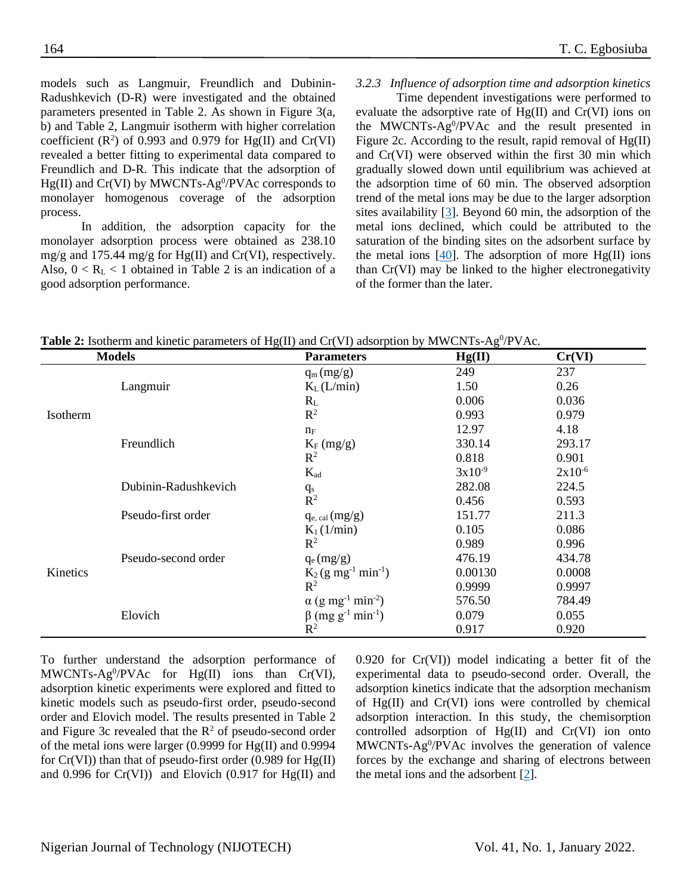models such as Langmuir, Freundlich and Dubinin-Radushkevich (D-R) were investigated and the obtained parameters presented in Table 2. As shown in Figure 3(a, b) and Table 2, Langmuir isotherm with higher correlation coefficient  $(R^2)$  of 0.993 and 0.979 for Hg(II) and Cr(VI) revealed a better fitting to experimental data compared to Freundlich and D-R. This indicate that the adsorption of  $Hg(II)$  and  $Cr(VI)$  by MWCNTs-Ag<sup>0</sup>/PVAc corresponds to monolayer homogenous coverage of the adsorption process.

In addition, the adsorption capacity for the monolayer adsorption process were obtained as 238.10 mg/g and 175.44 mg/g for Hg(II) and Cr(VI), respectively. Also,  $0 < R_L < 1$  obtained in Table 2 is an indication of a good adsorption performance.

#### *3.2.3 Influence of adsorption time and adsorption kinetics*

Time dependent investigations were performed to evaluate the adsorptive rate of Hg(II) and Cr(VI) ions on the MWCNTs- $Ag^0/PVAc$  and the result presented in Figure 2c. According to the result, rapid removal of Hg(II) and Cr(VI) were observed within the first 30 min which gradually slowed down until equilibrium was achieved at the adsorption time of 60 min. The observed adsorption trend of the metal ions may be due to the larger adsorption sites availability [\[3\]](#page-8-2). Beyond 60 min, the adsorption of the metal ions declined, which could be attributed to the saturation of the binding sites on the adsorbent surface by the metal ions  $[40]$ . The adsorption of more Hg(II) ions than Cr(VI) may be linked to the higher electronegativity of the former than the later.

| <b>Table 2:</b> Isotherm and kinetic parameters of $Hg(II)$ and $Cr(VI)$ adsorption by MWCNTs-Ag <sup>0</sup> /PVAc. |                        |        |     |  |  |
|----------------------------------------------------------------------------------------------------------------------|------------------------|--------|-----|--|--|
| <b>Models</b>                                                                                                        | <b>Parameters</b>      | Hg(II) | ∠r( |  |  |
|                                                                                                                      | $\alpha$ (m $\alpha$ ) | 740    | דרר |  |  |

|          | <b>Models</b>                                                                                                                                                                                                                                                                                                                                                                                                                                                                                                                                                                                                                                                                 | <b>Parameters</b> | Hg(II) | Cr(VI)                                                                                                                                                                     |
|----------|-------------------------------------------------------------------------------------------------------------------------------------------------------------------------------------------------------------------------------------------------------------------------------------------------------------------------------------------------------------------------------------------------------------------------------------------------------------------------------------------------------------------------------------------------------------------------------------------------------------------------------------------------------------------------------|-------------------|--------|----------------------------------------------------------------------------------------------------------------------------------------------------------------------------|
|          |                                                                                                                                                                                                                                                                                                                                                                                                                                                                                                                                                                                                                                                                               | $q_m(mg/g)$       | 249    | 237                                                                                                                                                                        |
|          | 1.50<br>Langmuir<br>$K_L(L/min)$<br>0.006<br>$R_{L}$<br>$R^2$<br>0.993<br>12.97<br>$n_F$<br>Freundlich<br>330.14<br>$K_F$ (mg/g)<br>$\mathbb{R}^2$<br>0.818<br>$3x10^{-9}$<br>$K_{ad}$<br>Dubinin-Radushkevich<br>282.08<br>$q_s$<br>$\overline{\mathbf{R}}^2$<br>0.456<br>Pseudo-first order<br>151.77<br>$q_{e, cal}(mg/g)$<br>0.105<br>$K_1(1/\text{min})$<br>$\mathbb{R}^2$<br>0.989<br>476.19<br>Pseudo-second order<br>$q_e (mg/g)$<br>$K_2$ (g mg <sup>-1</sup> min <sup>-1</sup> )<br>$R^2$<br>0.9999<br>$\alpha$ (g mg <sup>-1</sup> min <sup>-2</sup> )<br>576.50<br>$\beta$ (mg g <sup>-1</sup> min <sup>-1</sup> )<br>Elovich<br>0.079<br>$\mathbb{R}^2$<br>0.917 |                   | 0.26   |                                                                                                                                                                            |
|          |                                                                                                                                                                                                                                                                                                                                                                                                                                                                                                                                                                                                                                                                               |                   |        | 0.036<br>0.979<br>4.18<br>293.17<br>0.901<br>$2x10^{-6}$<br>224.5<br>0.593<br>211.3<br>0.086<br>0.996<br>434.78<br>0.00130<br>0.0008<br>0.9997<br>784.49<br>0.055<br>0.920 |
| Isotherm |                                                                                                                                                                                                                                                                                                                                                                                                                                                                                                                                                                                                                                                                               |                   |        |                                                                                                                                                                            |
|          |                                                                                                                                                                                                                                                                                                                                                                                                                                                                                                                                                                                                                                                                               |                   |        |                                                                                                                                                                            |
|          |                                                                                                                                                                                                                                                                                                                                                                                                                                                                                                                                                                                                                                                                               |                   |        |                                                                                                                                                                            |
|          |                                                                                                                                                                                                                                                                                                                                                                                                                                                                                                                                                                                                                                                                               |                   |        |                                                                                                                                                                            |
|          |                                                                                                                                                                                                                                                                                                                                                                                                                                                                                                                                                                                                                                                                               |                   |        |                                                                                                                                                                            |
|          |                                                                                                                                                                                                                                                                                                                                                                                                                                                                                                                                                                                                                                                                               |                   |        |                                                                                                                                                                            |
|          |                                                                                                                                                                                                                                                                                                                                                                                                                                                                                                                                                                                                                                                                               |                   |        |                                                                                                                                                                            |
|          |                                                                                                                                                                                                                                                                                                                                                                                                                                                                                                                                                                                                                                                                               |                   |        |                                                                                                                                                                            |
|          |                                                                                                                                                                                                                                                                                                                                                                                                                                                                                                                                                                                                                                                                               |                   |        |                                                                                                                                                                            |
|          |                                                                                                                                                                                                                                                                                                                                                                                                                                                                                                                                                                                                                                                                               |                   |        |                                                                                                                                                                            |
|          |                                                                                                                                                                                                                                                                                                                                                                                                                                                                                                                                                                                                                                                                               |                   |        |                                                                                                                                                                            |
| Kinetics |                                                                                                                                                                                                                                                                                                                                                                                                                                                                                                                                                                                                                                                                               |                   |        |                                                                                                                                                                            |
|          |                                                                                                                                                                                                                                                                                                                                                                                                                                                                                                                                                                                                                                                                               |                   |        |                                                                                                                                                                            |
|          |                                                                                                                                                                                                                                                                                                                                                                                                                                                                                                                                                                                                                                                                               |                   |        |                                                                                                                                                                            |
|          |                                                                                                                                                                                                                                                                                                                                                                                                                                                                                                                                                                                                                                                                               |                   |        |                                                                                                                                                                            |
|          |                                                                                                                                                                                                                                                                                                                                                                                                                                                                                                                                                                                                                                                                               |                   |        |                                                                                                                                                                            |

To further understand the adsorption performance of MWCNTs-Ag<sup>0</sup>/PVAc for Hg(II) ions than Cr(VI), adsorption kinetic experiments were explored and fitted to kinetic models such as pseudo-first order, pseudo-second order and Elovich model. The results presented in Table 2 and Figure 3c revealed that the  $R^2$  of pseudo-second order of the metal ions were larger (0.9999 for Hg(II) and 0.9994 for  $Cr(VI)$ ) than that of pseudo-first order (0.989 for  $Hg(II)$ ) and 0.996 for  $Cr(VI)$  and Elovich (0.917 for Hg(II) and

0.920 for Cr(VI)) model indicating a better fit of the experimental data to pseudo-second order. Overall, the adsorption kinetics indicate that the adsorption mechanism of Hg(II) and Cr(VI) ions were controlled by chemical adsorption interaction. In this study, the chemisorption controlled adsorption of Hg(II) and Cr(VI) ion onto MWCNTs-Ag<sup>0</sup>/PVAc involves the generation of valence forces by the exchange and sharing of electrons between the metal ions and the adsorbent  $[2]$ .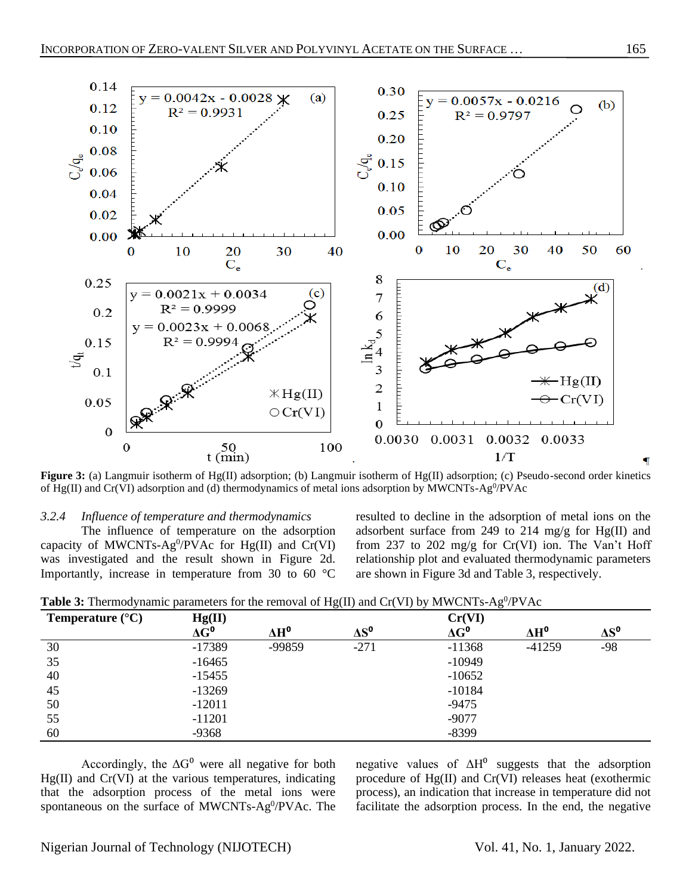

**Figure 3:** (a) Langmuir isotherm of Hg(II) adsorption; (b) Langmuir isotherm of Hg(II) adsorption; (c) Pseudo-second order kinetics of Hg(II) and Cr(VI) adsorption and (d) thermodynamics of metal ions adsorption by MWCNTs-Ag<sup>0</sup>/PVAc

#### *3.2.4 Influence of temperature and thermodynamics*

The influence of temperature on the adsorption capacity of MWCNTs-Ag<sup>0</sup>/PVAc for Hg(II) and Cr(VI) was investigated and the result shown in Figure 2d. Importantly, increase in temperature from 30 to 60 °C

resulted to decline in the adsorption of metal ions on the adsorbent surface from 249 to 214 mg/g for  $Hg(II)$  and from 237 to 202 mg/g for Cr(VI) ion. The Van't Hoff relationship plot and evaluated thermodynamic parameters are shown in Figure 3d and Table 3, respectively.

| Temperature $(^{\circ}C)$ |                                                       |              |              | Cr(VI)       |              |              |
|---------------------------|-------------------------------------------------------|--------------|--------------|--------------|--------------|--------------|
|                           | $\begin{array}{c}\nHg(II) \\ \Delta G^0\n\end{array}$ | $\Delta H^0$ | $\Delta S^0$ | $\Delta G^0$ | $\Delta H^0$ | $\Delta S^0$ |
| 30                        | $-17389$                                              | -99859       | $-271$       | $-11368$     | $-41259$     | $-98$        |
| 35                        | $-16465$                                              |              |              | $-10949$     |              |              |
| 40                        | $-15455$                                              |              |              | $-10652$     |              |              |
| 45                        | $-13269$                                              |              |              | $-10184$     |              |              |
| 50                        | $-12011$                                              |              |              | $-9475$      |              |              |
| 55                        | $-11201$                                              |              |              | $-9077$      |              |              |
| 60                        | $-9368$                                               |              |              | $-8399$      |              |              |

Table 3: Thermodynamic parameters for the removal of Hg(II) and Cr(VI) by MWCNTs-Ag<sup>0</sup>/PVAc

Accordingly, the  $\Delta G^0$  were all negative for both  $Hg(II)$  and  $Cr(VI)$  at the various temperatures, indicating that the adsorption process of the metal ions were spontaneous on the surface of MWCNTs-Ag<sup>0</sup>/PVAc. The negative values of  $\Delta H^0$  suggests that the adsorption procedure of Hg(II) and Cr(VI) releases heat (exothermic process), an indication that increase in temperature did not facilitate the adsorption process. In the end, the negative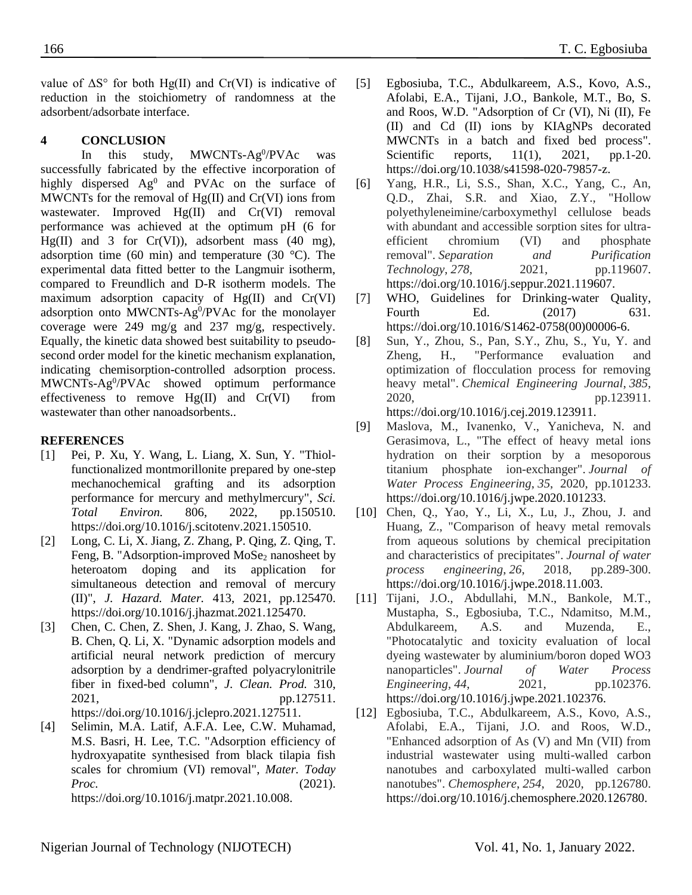value of  $\Delta S^{\circ}$  for both Hg(II) and Cr(VI) is indicative of reduction in the stoichiometry of randomness at the adsorbent/adsorbate interface.

# **4 CONCLUSION**

In this study, MWCNTs-Ag<sup>0</sup>/PVAc was successfully fabricated by the effective incorporation of highly dispersed  $Ag^0$  and PVAc on the surface of MWCNTs for the removal of  $Hg(II)$  and  $Cr(VI)$  ions from wastewater. Improved Hg(II) and Cr(VI) removal performance was achieved at the optimum pH (6 for Hg(II) and 3 for  $Cr(VI)$ , adsorbent mass (40 mg), adsorption time (60 min) and temperature (30  $^{\circ}$ C). The experimental data fitted better to the Langmuir isotherm, compared to Freundlich and D-R isotherm models. The maximum adsorption capacity of Hg(II) and Cr(VI) adsorption onto MWCNTs-Ag<sup>0</sup>/PVAc for the monolayer coverage were 249 mg/g and 237 mg/g, respectively. Equally, the kinetic data showed best suitability to pseudosecond order model for the kinetic mechanism explanation, indicating chemisorption-controlled adsorption process. MWCNTs-Ag<sup>0</sup>/PVAc showed optimum performance effectiveness to remove  $Hg(II)$  and  $Cr(VI)$  from wastewater than other nanoadsorbents..

## **REFERENCES**

- <span id="page-8-0"></span>[1] Pei, P. Xu, Y. Wang, L. Liang, X. Sun, Y. "Thiolfunctionalized montmorillonite prepared by one-step mechanochemical grafting and its adsorption performance for mercury and methylmercury", *Sci. Total Environ.* 806, 2022, pp.150510. https://doi.org/10.1016/j.scitotenv.2021.150510.
- <span id="page-8-1"></span>[2] Long, C. Li, X. Jiang, Z. Zhang, P. Qing, Z. Qing, T. Feng, B. "Adsorption-improved MoSe<sub>2</sub> nanosheet by heteroatom doping and its application for simultaneous detection and removal of mercury (II)", *J. Hazard. Mater.* 413, 2021, pp.125470. https://doi.org/10.1016/j.jhazmat.2021.125470.
- <span id="page-8-2"></span>[3] Chen, C. Chen, Z. Shen, J. Kang, J. Zhao, S. Wang, B. Chen, Q. Li, X. "Dynamic adsorption models and artificial neural network prediction of mercury adsorption by a dendrimer-grafted polyacrylonitrile fiber in fixed-bed column", *J. Clean. Prod.* 310, 2021, pp.127511. https://doi.org/10.1016/j.jclepro.2021.127511.
- <span id="page-8-3"></span>[4] Selimin, M.A. Latif, A.F.A. Lee, C.W. Muhamad, M.S. Basri, H. Lee, T.C. "Adsorption efficiency of hydroxyapatite synthesised from black tilapia fish scales for chromium (VI) removal", *Mater. Today Proc.* (2021).

https://doi.org/10.1016/j.matpr.2021.10.008.

- <span id="page-8-4"></span>[5] Egbosiuba, T.C., Abdulkareem, A.S., Kovo, A.S., Afolabi, E.A., Tijani, J.O., Bankole, M.T., Bo, S. and Roos, W.D. "Adsorption of Cr (VI), Ni (II), Fe (II) and Cd (II) ions by KIAgNPs decorated MWCNTs in a batch and fixed bed process". Scientific reports, 11(1), 2021, pp.1-20. https://doi.org/10.1038/s41598-020-79857-z.
- <span id="page-8-5"></span>[6] Yang, H.R., Li, S.S., Shan, X.C., Yang, C., An, Q.D., Zhai, S.R. and Xiao, Z.Y., "Hollow polyethyleneimine/carboxymethyl cellulose beads with abundant and accessible sorption sites for ultraefficient chromium (VI) and phosphate removal". *Separation and Purification Technology*, *278*, 2021, pp.119607. https://doi.org/10.1016/j.seppur.2021.119607.
- <span id="page-8-6"></span>[7] WHO, Guidelines for Drinking-water Quality, Fourth Ed. (2017) 631. https://doi.org/10.1016/S1462-0758(00)00006-6.
- <span id="page-8-7"></span>[8] Sun, Y., Zhou, S., Pan, S.Y., Zhu, S., Yu, Y. and Zheng, H., "Performance evaluation and optimization of flocculation process for removing heavy metal". *Chemical Engineering Journal*, *385*, 2020, pp.123911. https://doi.org/10.1016/j.cej.2019.123911.
- [9] Maslova, M., Ivanenko, V., Yanicheva, N. and Gerasimova, L., "The effect of heavy metal ions hydration on their sorption by a mesoporous titanium phosphate ion-exchanger". *Journal of Water Process Engineering*, *35*, 2020, pp.101233. https://doi.org/10.1016/j.jwpe.2020.101233.
- [10] Chen, Q., Yao, Y., Li, X., Lu, J., Zhou, J. and Huang, Z., "Comparison of heavy metal removals from aqueous solutions by chemical precipitation and characteristics of precipitates". *Journal of water process engineering*, *26*, 2018, pp.289-300. https://doi.org/10.1016/j.jwpe.2018.11.003.
- [11] Tijani, J.O., Abdullahi, M.N., Bankole, M.T., Mustapha, S., Egbosiuba, T.C., Ndamitso, M.M., Abdulkareem, A.S. and Muzenda, E., "Photocatalytic and toxicity evaluation of local dyeing wastewater by aluminium/boron doped WO3 nanoparticles". *Journal of Water Process Engineering*, *44*, 2021, pp.102376. https://doi.org/10.1016/j.jwpe.2021.102376.
- [12] Egbosiuba, T.C., Abdulkareem, A.S., Kovo, A.S., Afolabi, E.A., Tijani, J.O. and Roos, W.D., "Enhanced adsorption of As (V) and Mn (VII) from industrial wastewater using multi-walled carbon nanotubes and carboxylated multi-walled carbon nanotubes". *Chemosphere*, *254*, 2020, pp.126780. https://doi.org/10.1016/j.chemosphere.2020.126780.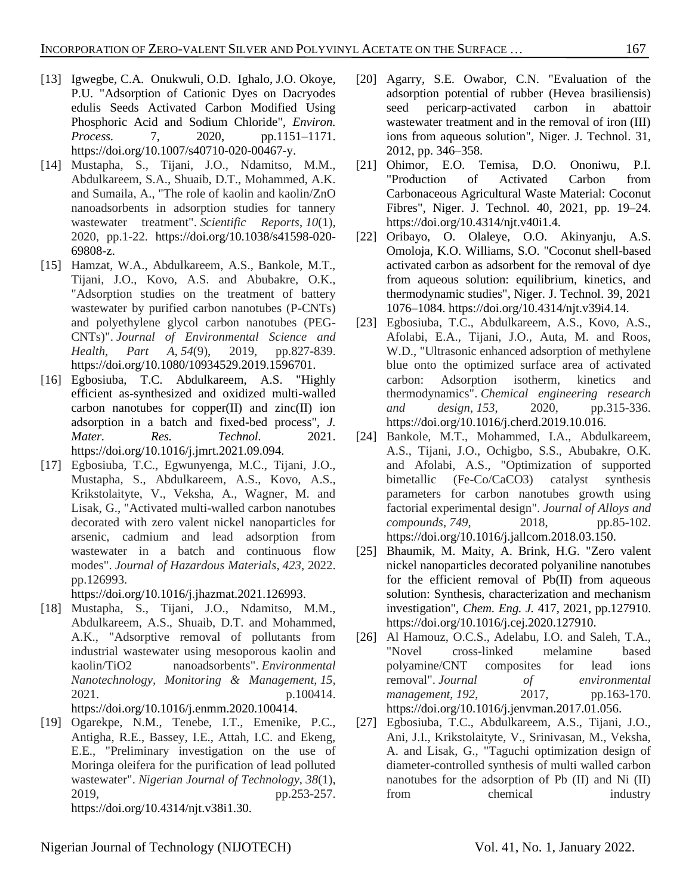- [13] Igwegbe, C.A. Onukwuli, O.D. Ighalo, J.O. Okoye, P.U. "Adsorption of Cationic Dyes on Dacryodes edulis Seeds Activated Carbon Modified Using Phosphoric Acid and Sodium Chloride", *Environ. Process.* 7, 2020, pp.1151–1171. https://doi.org/10.1007/s40710-020-00467-y.
- <span id="page-9-0"></span>[14] Mustapha, S., Tijani, J.O., Ndamitso, M.M., Abdulkareem, S.A., Shuaib, D.T., Mohammed, A.K. and Sumaila, A., "The role of kaolin and kaolin/ZnO nanoadsorbents in adsorption studies for tannery wastewater treatment". *Scientific Reports*, *10*(1), 2020, pp.1-22. https://doi.org/10.1038/s41598-020- 69808-z.
- <span id="page-9-5"></span>[15] Hamzat, W.A., Abdulkareem, A.S., Bankole, M.T., Tijani, J.O., Kovo, A.S. and Abubakre, O.K., "Adsorption studies on the treatment of battery wastewater by purified carbon nanotubes (P-CNTs) and polyethylene glycol carbon nanotubes (PEG-CNTs)". *Journal of Environmental Science and Health, Part A*, *54*(9), 2019, pp.827-839. https://doi.org/10.1080/10934529.2019.1596701.
- <span id="page-9-6"></span>[16] Egbosiuba, T.C. Abdulkareem, A.S. "Highly efficient as-synthesized and oxidized multi-walled carbon nanotubes for copper(II) and zinc(II) ion adsorption in a batch and fixed-bed process", *J. Mater.* Res. Technol. 2021. https://doi.org/10.1016/j.jmrt.2021.09.094.
- <span id="page-9-1"></span>[17] Egbosiuba, T.C., Egwunyenga, M.C., Tijani, J.O., Mustapha, S., Abdulkareem, A.S., Kovo, A.S., Krikstolaityte, V., Veksha, A., Wagner, M. and Lisak, G., "Activated multi-walled carbon nanotubes decorated with zero valent nickel nanoparticles for arsenic, cadmium and lead adsorption from wastewater in a batch and continuous flow modes". *Journal of Hazardous Materials*, *423*, 2022. pp.126993.

https://doi.org/10.1016/j.jhazmat.2021.126993.

- <span id="page-9-2"></span>[18] Mustapha, S., Tijani, J.O., Ndamitso, M.M., Abdulkareem, A.S., Shuaib, D.T. and Mohammed, A.K., "Adsorptive removal of pollutants from industrial wastewater using mesoporous kaolin and kaolin/TiO2 nanoadsorbents". *Environmental Nanotechnology, Monitoring & Management*, *15*, 2021. p.100414. https://doi.org/10.1016/j.enmm.2020.100414.
- <span id="page-9-3"></span>[19] Ogarekpe, N.M., Tenebe, I.T., Emenike, P.C., Antigha, R.E., Bassey, I.E., Attah, I.C. and Ekeng, E.E., "Preliminary investigation on the use of Moringa oleifera for the purification of lead polluted wastewater". *Nigerian Journal of Technology*, *38*(1), 2019, pp.253-257. https://doi.org/10.4314/njt.v38i1.30.
- [20] Agarry, S.E. Owabor, C.N. "Evaluation of the adsorption potential of rubber (Hevea brasiliensis) seed pericarp-activated carbon in abattoir wastewater treatment and in the removal of iron (III) ions from aqueous solution", Niger. J. Technol. 31, 2012, pp. 346–358.
- [21] Ohimor, E.O. Temisa, D.O. Ononiwu, P.I. "Production of Activated Carbon from Carbonaceous Agricultural Waste Material: Coconut Fibres", Niger. J. Technol. 40, 2021, pp. 19–24. https://doi.org/10.4314/njt.v40i1.4.
- [22] Oribayo, O. Olaleye, O.O. Akinyanju, A.S. Omoloja, K.O. Williams, S.O. "Coconut shell-based activated carbon as adsorbent for the removal of dye from aqueous solution: equilibrium, kinetics, and thermodynamic studies", Niger. J. Technol. 39, 2021 1076–1084. https://doi.org/10.4314/njt.v39i4.14.
- <span id="page-9-4"></span>[23] Egbosiuba, T.C., Abdulkareem, A.S., Kovo, A.S., Afolabi, E.A., Tijani, J.O., Auta, M. and Roos, W.D., "Ultrasonic enhanced adsorption of methylene blue onto the optimized surface area of activated carbon: Adsorption isotherm, kinetics and thermodynamics". *Chemical engineering research and design*, *153*, 2020, pp.315-336. https://doi.org/10.1016/j.cherd.2019.10.016.
- <span id="page-9-7"></span>[24] Bankole, M.T., Mohammed, I.A., Abdulkareem, A.S., Tijani, J.O., Ochigbo, S.S., Abubakre, O.K. and Afolabi, A.S., "Optimization of supported bimetallic (Fe-Co/CaCO3) catalyst synthesis parameters for carbon nanotubes growth using factorial experimental design". *Journal of Alloys and compounds*, *749*, 2018, pp.85-102. https://doi.org/10.1016/j.jallcom.2018.03.150.
- <span id="page-9-8"></span>[25] Bhaumik, M. Maity, A. Brink, H.G. "Zero valent nickel nanoparticles decorated polyaniline nanotubes for the efficient removal of Pb(II) from aqueous solution: Synthesis, characterization and mechanism investigation", *Chem. Eng. J.* 417, 2021, pp.127910. https://doi.org/10.1016/j.cej.2020.127910.
- <span id="page-9-9"></span>[26] Al Hamouz, O.C.S., Adelabu, I.O. and Saleh, T.A., "Novel cross-linked melamine based polyamine/CNT composites for lead ions removal". *Journal of environmental management*, *192*, 2017, pp.163-170. https://doi.org/10.1016/j.jenvman.2017.01.056.
- <span id="page-9-10"></span>[27] Egbosiuba, T.C., Abdulkareem, A.S., Tijani, J.O., Ani, J.I., Krikstolaityte, V., Srinivasan, M., Veksha, A. and Lisak, G., "Taguchi optimization design of diameter-controlled synthesis of multi walled carbon nanotubes for the adsorption of Pb (II) and Ni (II) from chemical industry